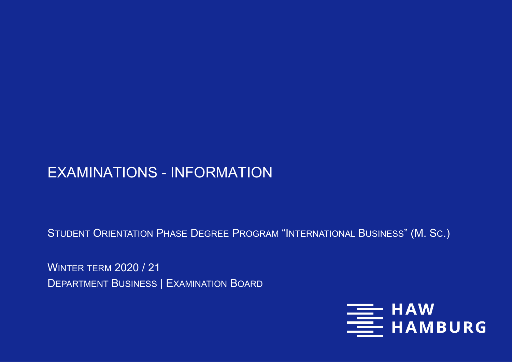# EXAMINATIONS - INFORMATION

STUDENT ORIENTATION PHASE DEGREE PROGRAM "INTERNATIONAL BUSINESS" (M. SC.)

WINTER TERM 2020 / 21 DEPARTMENT BUSINESS | EXAMINATION BOARD

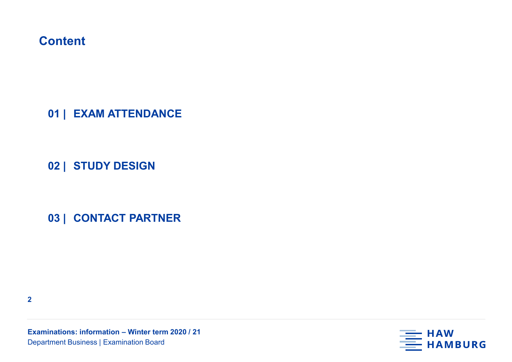**01 | EXAM ATTENDANCE**

**02 | STUDY DESIGN**

**03 | CONTACT PARTNER**

**2**

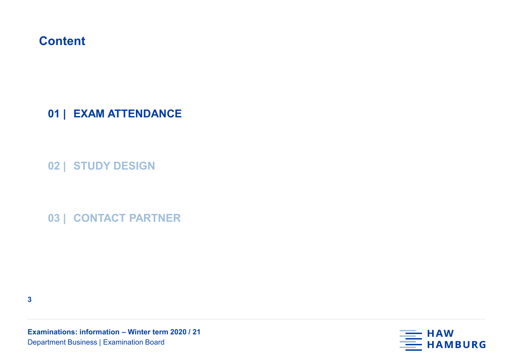**01 | EXAM ATTENDANCE**

**02 | STUDY DESIGN**

**03 | CONTACT PARTNER**

**3**

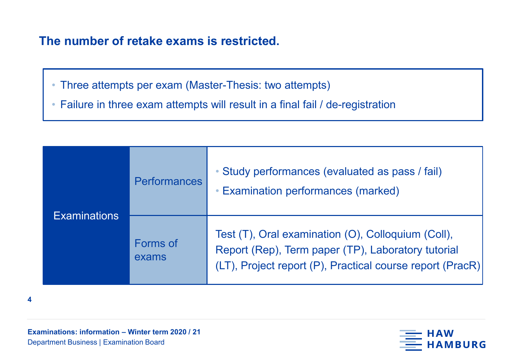### **The number of retake exams is restricted.**

• Three attempts per exam (Master-Thesis: two attempts)

• Failure in three exam attempts will result in a final fail / de-registration

| <b>Examinations</b> | <b>Performances</b> | • Study performances (evaluated as pass / fail)<br>• Examination performances (marked)                                                                                |  |  |  |  |
|---------------------|---------------------|-----------------------------------------------------------------------------------------------------------------------------------------------------------------------|--|--|--|--|
|                     | Forms of<br>exams   | Test (T), Oral examination (O), Colloquium (Coll),<br>Report (Rep), Term paper (TP), Laboratory tutorial<br>(LT), Project report (P), Practical course report (PracR) |  |  |  |  |

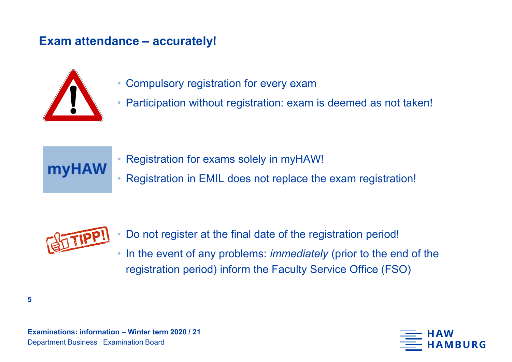### **Exam attendance – accurately!**



- Compulsory registration for every exam
- Participation without registration: exam is deemed as not taken!



- Registration for exams solely in myHAW!
- Registration in EMIL does not replace the exam registration!



- Do not register at the final date of the registration period!
- In the event of any problems: *immediately* (prior to the end of the registration period) inform the Faculty Service Office (FSO)

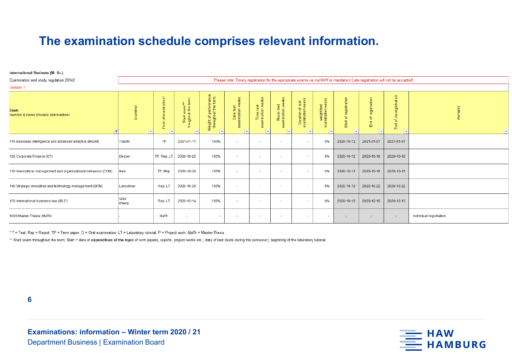### **The examination schedule comprises relevant information.**

#### **International Business (M. Sc.)**

| Examination and study regulation 20142                          | Please note: Timely registration for the appropriate exams via myHAW is mandatory! Late registration will not be accepted! |                                           |                                    |                                              |                                          |                                  |                                    |                                       |                                  |                            |                                   |                                                        |                                     |
|-----------------------------------------------------------------|----------------------------------------------------------------------------------------------------------------------------|-------------------------------------------|------------------------------------|----------------------------------------------|------------------------------------------|----------------------------------|------------------------------------|---------------------------------------|----------------------------------|----------------------------|-----------------------------------|--------------------------------------------------------|-------------------------------------|
| <b>Version 1</b>                                                |                                                                                                                            |                                           |                                    |                                              |                                          |                                  |                                    |                                       |                                  |                            |                                   |                                                        |                                     |
| Exam<br>Number & name (module abbreviation)<br>JТ               |                                                                                                                            | $\overline{a}$<br>$\mathbf{m}$<br>'ठ<br>ō | Start exam**<br>troughout the term | Weight of performance<br>throughout the term | eeks<br>Date test<br>mination we<br>exar | 盖<br>Time test<br>examination we | eks<br>Room test<br>camination wee | Duration of test<br>examination weeks | weight test<br>examination weeks | registration<br>đ<br>Start | registration<br>气<br>$\mathbb{E}$ | gistration<br>$\bullet$<br>യ<br>ᄒ<br>놓<br>$\mathbb{E}$ | Remarks<br>$\overline{\phantom{a}}$ |
| 110 Business intelligence and advanced analytics (BADM)         | <b>Tuschl</b>                                                                                                              | <b>TP</b>                                 | 2021-01-11                         | 100%                                         | ٠                                        |                                  |                                    |                                       | 0%                               | 2020-10-12                 | 2021-01-07                        | 2021-01-07                                             |                                     |
| 120 Corporate Finance (CF)                                      | Decker                                                                                                                     | TP, Rep, LT                               | 2020-10-22                         | 100%                                         | $\sim$                                   | ۰.                               | $\overline{\phantom{a}}$           |                                       | 0%                               | 2020-10-12                 | 2020-10-18                        | 2020-10-18                                             |                                     |
| 130 Intercultural management and organisational behaviour (COM) | Iken                                                                                                                       | TP, Rep                                   | 2020-10-20                         | 100%                                         | ٠                                        |                                  | $\sim$                             |                                       | 0%                               | 2020-10-12                 | 2020-10-16                        | 2020-10-16                                             |                                     |
| 140 Strategic innovation and technology management (SITM)       | Lenschow                                                                                                                   | Rep. LT                                   | 2020-10-26                         | 100%                                         | ٠                                        | ٠                                | $\sim$                             |                                       | 0%                               | 2020-10-12                 | 2020-10-22                        | 2020-10-22                                             |                                     |
| 150 International business law (IBLE)                           | Gille<br>Imiela                                                                                                            | Rep, LT                                   | 2020-12-14                         | 100%                                         | $\sim$                                   |                                  |                                    |                                       | 0%                               | 2020-10-12                 | 2020-12-10                        | 2020-12-10                                             |                                     |
| 6000 Master-Thesis (MaTh)                                       |                                                                                                                            | MaTh                                      | $\overline{\phantom{a}}$           | $\overline{\phantom{a}}$                     | $\sim$                                   | ٠                                |                                    |                                       | $\sim$                           | $\sim$                     | $\sim$                            | $\sim$                                                 | individual registration             |

\* T = Test; Rep = Report; TP = Term paper; O = Oral examination; LT = Laboratory tutorial; P = Project work; MaTh = Master-Thesis

\*\* Start exam throughout the term; Start = date of expenditure of the topic of term papers, reports, project works etc.; date of test (tests during the semester); beginning of the laboratory tutorial

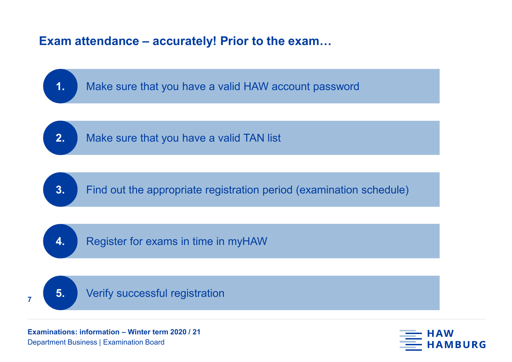### **Exam attendance – accurately! Prior to the exam…**



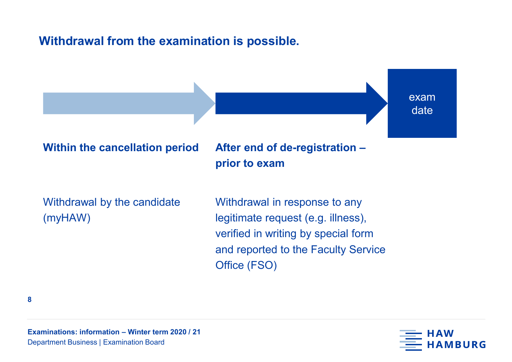### **Withdrawal from the examination is possible.**

exam date

#### **Within the cancellation period**

# **After end of de-registration – prior to exam**

Withdrawal by the candidate (myHAW)

Withdrawal in response to any legitimate request (e.g. illness), verified in writing by special form and reported to the Faculty Service Office (FSO)

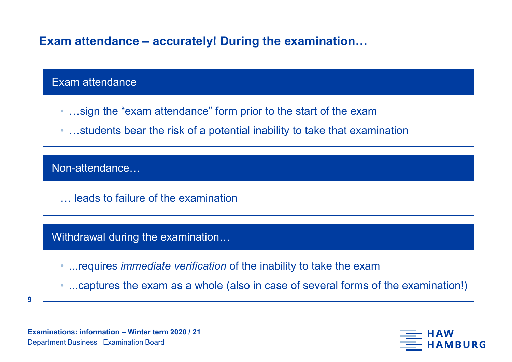### **Exam attendance – accurately! During the examination…**

#### Exam attendance

- …sign the "exam attendance" form prior to the start of the exam
- …students bear the risk of a potential inability to take that examination

#### Non-attendance…

… leads to failure of the examination

#### Withdrawal during the examination…

- ...requires *immediate verification* of the inability to take the exam
- ...captures the exam as a whole (also in case of several forms of the examination!)
- **9**

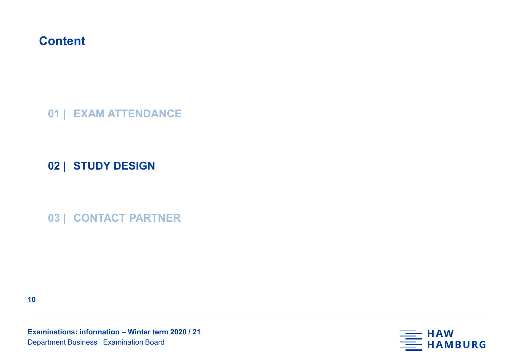**01 | EXAM ATTENDANCE**

**02 | STUDY DESIGN**

**03 | CONTACT PARTNER**

**10**

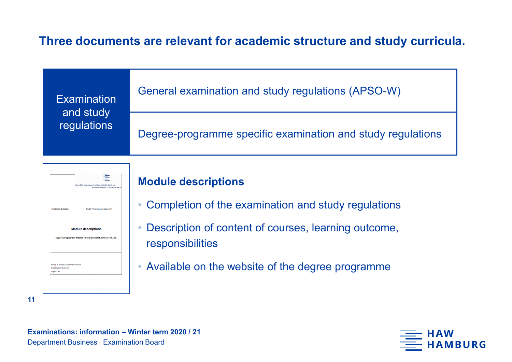### **Three documents are relevant for academic structure and study curricula.**

| <b>Examination</b><br>and study<br>regulations | General examination and study regulations (APSO-W)          |  |  |  |  |  |
|------------------------------------------------|-------------------------------------------------------------|--|--|--|--|--|
|                                                | Degree-programme specific examination and study regulations |  |  |  |  |  |



### **Module descriptions**

- Completion of the examination and study regulations
- Description of content of courses, learning outcome, responsibilities
- Available on the website of the degree programme



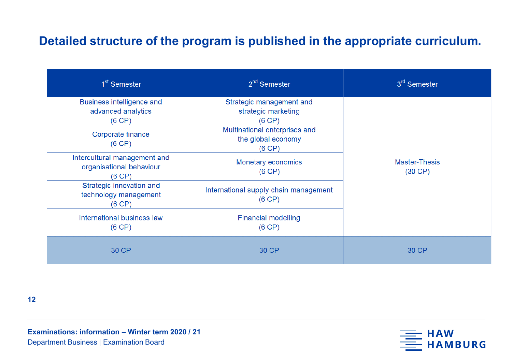### **Detailed structure of the program is published in the appropriate curriculum.**

| 1 <sup>st</sup> Semester                                           | $2nd$ Semester                                                | 3 <sup>rd</sup> Semester             |  |  |
|--------------------------------------------------------------------|---------------------------------------------------------------|--------------------------------------|--|--|
| <b>Business intelligence and</b><br>advanced analytics<br>(6 CP)   | Strategic management and<br>strategic marketing<br>(6 CP)     |                                      |  |  |
| Corporate finance<br>(6 CP)                                        | Multinational enterprises and<br>the global economy<br>(6 CP) |                                      |  |  |
| Intercultural management and<br>organisational behaviour<br>(6 CP) | Monetary economics<br>(6 CP)                                  | <b>Master-Thesis</b><br>$(30$ CP $)$ |  |  |
| Strategic innovation and<br>technology management<br>(6 CP)        | International supply chain management<br>(6 CP)               |                                      |  |  |
| International business law<br>(6 CP)                               | <b>Financial modelling</b><br>(6 CP)                          |                                      |  |  |
| 30 CP                                                              | 30 CP                                                         | 30 CP                                |  |  |

**12**

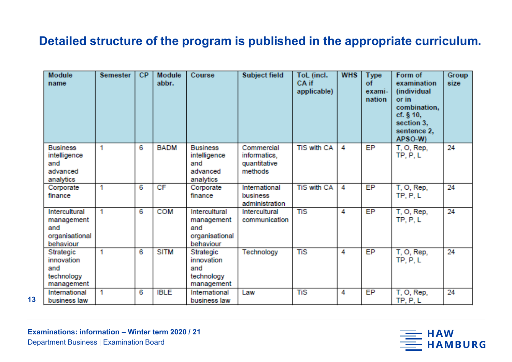### **Detailed structure of the program is published in the appropriate curriculum.**

| Module<br>name                                                    | <b>Semester</b> | <b>CP</b> | Module<br>abbr. | Course                                                            | Subject field                                         | ToL (incl.<br>CA if<br>applicable) | <b>WHS</b> | <b>Type</b><br>of<br>exami-<br>nation | Form of<br>examination<br>(individual<br>or in<br>combination,<br>cf. $§$ 10,<br>section 3,<br>sentence 2,<br>APSO W) | <b>Group</b><br>size |
|-------------------------------------------------------------------|-----------------|-----------|-----------------|-------------------------------------------------------------------|-------------------------------------------------------|------------------------------------|------------|---------------------------------------|-----------------------------------------------------------------------------------------------------------------------|----------------------|
| <b>Business</b><br>intelligence<br>and<br>advanced<br>analytics   | 1               | 6         | <b>BADM</b>     | <b>Business</b><br>intelligence<br>and<br>advanced<br>analytics   | Commercial<br>informatics,<br>quantitative<br>methods | <b>TiS with CA</b>                 | 4          | EP                                    | T, O, Rep,<br>TP, P, L                                                                                                | 24                   |
| Corporate<br>finance                                              | 1               | 6         | CF              | Corporate<br>finance                                              | International<br>business<br>administration           | <b>TiS with CA</b>                 | 4          | EP                                    | T, O, Rep,<br>TP, P, L                                                                                                | 24                   |
| Intercultural<br>management<br>and<br>organisational<br>behaviour | 1               | 6         | <b>COM</b>      | Intercultural<br>management<br>and<br>organisational<br>behaviour | Intercultural<br>communication                        | <b>TiS</b>                         | 4          | EP                                    | T, O, Rep,<br>TP, P, L                                                                                                | 24                   |
| Strategic<br>innovation<br>and<br>technology<br>management        | 1               | 6         | <b>SITM</b>     | Strategic<br>innovation<br>and<br>technology<br>management        | Technology                                            | <b>TiS</b>                         | 4          | <b>EP</b>                             | T, O, Rep,<br>TP, P, L                                                                                                | 24                   |
| International<br>business law                                     | 1               | 6         | <b>IBLE</b>     | International<br>business law                                     | Law                                                   | <b>TiS</b>                         | 4          | EP                                    | T, O, Rep,<br>TP, P, L                                                                                                | 24                   |

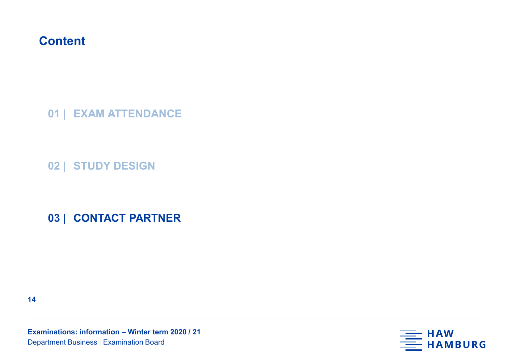**01 | EXAM ATTENDANCE**

**02 | STUDY DESIGN**

**03 | CONTACT PARTNER**

**14**

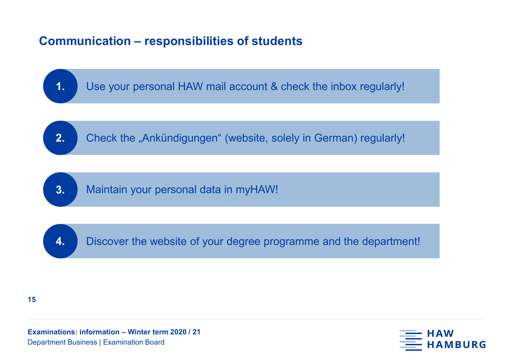# **Communication – responsibilities of students**



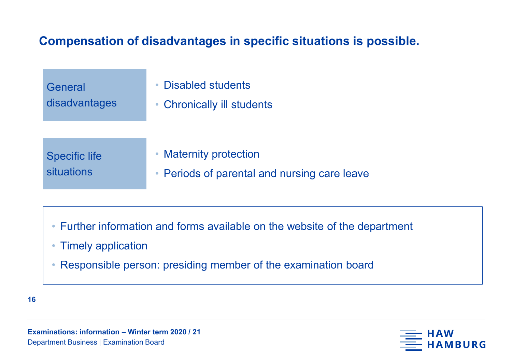# **Compensation of disadvantages in specific situations is possible.**

| General<br>disadvantages | <b>Disabled students</b><br>$\bullet$<br>• Chronically ill students |
|--------------------------|---------------------------------------------------------------------|
| <b>Specific life</b>     | • Maternity protection                                              |
| situations               | • Periods of parental and nursing care leave                        |

- Further information and forms available on the website of the department
- Timely application
- Responsible person: presiding member of the examination board

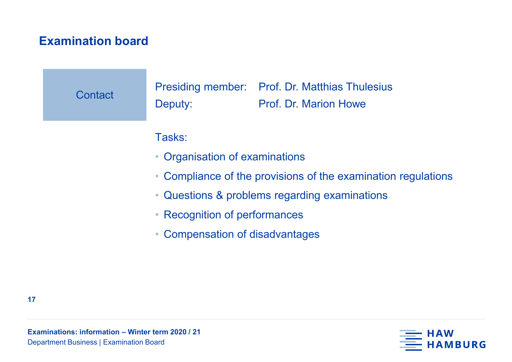# **Examination board**

| Contact | Deputy:                                                       | Presiding member: Prof. Dr. Matthias Thulesius<br><b>Prof. Dr. Marion Howe</b> |  |  |  |  |
|---------|---------------------------------------------------------------|--------------------------------------------------------------------------------|--|--|--|--|
|         | Tasks:                                                        |                                                                                |  |  |  |  |
|         | • Organisation of examinations                                |                                                                                |  |  |  |  |
|         | • Compliance of the provisions of the examination regulations |                                                                                |  |  |  |  |
|         | • Questions & problems regarding examinations                 |                                                                                |  |  |  |  |
|         |                                                               |                                                                                |  |  |  |  |

- Recognition of performances
- Compensation of disadvantages

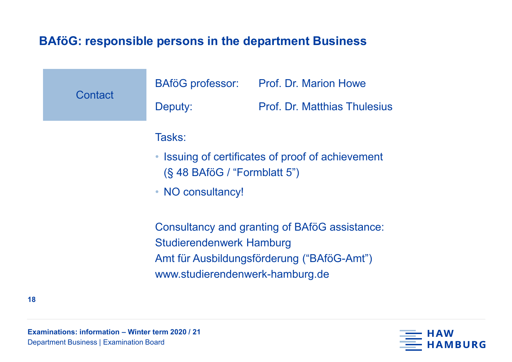# **BAföG: responsible persons in the department Business**

| Contact | <b>BAföG</b> professor:<br>Deputy:                                                                                                                                | <b>Prof. Dr. Marion Howe</b><br><b>Prof. Dr. Matthias Thulesius</b> |  |  |  |
|---------|-------------------------------------------------------------------------------------------------------------------------------------------------------------------|---------------------------------------------------------------------|--|--|--|
|         | Tasks:<br>$(S$ 48 BAföG / "Formblatt 5")<br>• NO consultancy!                                                                                                     | • Issuing of certificates of proof of achievement                   |  |  |  |
|         | Consultancy and granting of BAföG assistance:<br><b>Studierendenwerk Hamburg</b><br>Amt für Ausbildungsförderung ("BAföG-Amt")<br>www.studierendenwerk-hamburg.de |                                                                     |  |  |  |

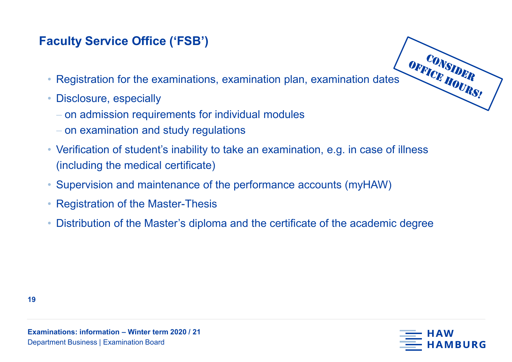# **Faculty Service Office ('FSB')**

- OFFICE HOURS! • Registration for the examinations, examination plan, examination dates
- Disclosure, especially
	- − on admission requirements for individual modules
	- − on examination and study regulations
- Verification of student's inability to take an examination, e.g. in case of illness (including the medical certificate)
- Supervision and maintenance of the performance accounts (myHAW)
- Registration of the Master-Thesis
- Distribution of the Master's diploma and the certificate of the academic degree